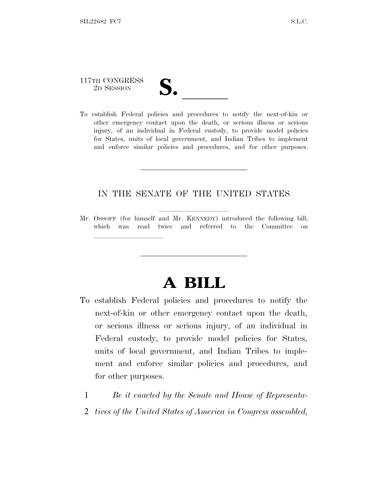# 117TH CONGRESS

lla se al consegue de la consegue de la consegue de la consegue de la consegue de la consegue de la consegue d<br>La consegue de la consegue de la consegue de la consegue de la consegue de la consegue de la consegue de la co

117TH CONGRESS<br>
2D SESSION<br>
To establish Federal policies and procedures to notify the next-of-kin or other emergency contact upon the death, or serious illness or serious injury, of an individual in Federal custody, to provide model policies for States, units of local government, and Indian Tribes to implement and enforce similar policies and procedures, and for other purposes.

### IN THE SENATE OF THE UNITED STATES

Mr. OSSOFF (for himself and Mr. KENNEDY) introduced the following bill; which was read twice and referred to the Committee on

## **A BILL**

- To establish Federal policies and procedures to notify the next-of-kin or other emergency contact upon the death, or serious illness or serious injury, of an individual in Federal custody, to provide model policies for States, units of local government, and Indian Tribes to implement and enforce similar policies and procedures, and for other purposes.
	- 1 *Be it enacted by the Senate and House of Representa-*
	- 2 *tives of the United States of America in Congress assembled,*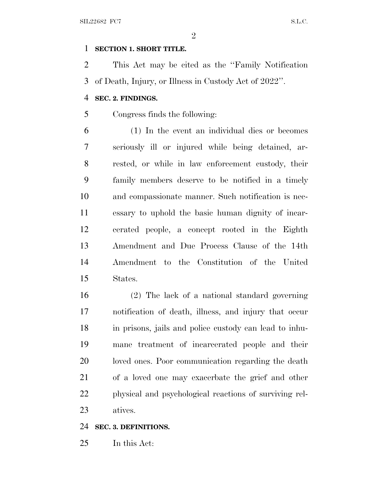#### **SECTION 1. SHORT TITLE.**

 This Act may be cited as the ''Family Notification of Death, Injury, or Illness in Custody Act of 2022''.

#### **SEC. 2. FINDINGS.**

Congress finds the following:

 (1) In the event an individual dies or becomes seriously ill or injured while being detained, ar- rested, or while in law enforcement custody, their family members deserve to be notified in a timely and compassionate manner. Such notification is nec- essary to uphold the basic human dignity of incar- cerated people, a concept rooted in the Eighth Amendment and Due Process Clause of the 14th Amendment to the Constitution of the United States.

 (2) The lack of a national standard governing notification of death, illness, and injury that occur in prisons, jails and police custody can lead to inhu- mane treatment of incarcerated people and their loved ones. Poor communication regarding the death of a loved one may exacerbate the grief and other physical and psychological reactions of surviving rel-atives.

#### **SEC. 3. DEFINITIONS.**

In this Act: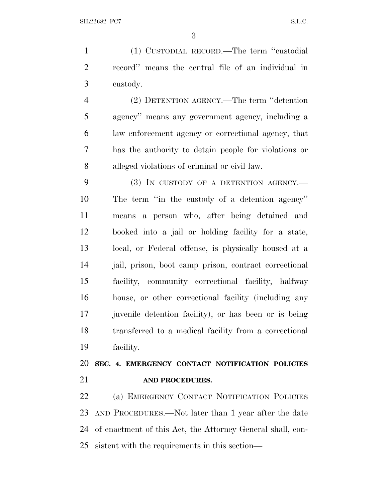(1) CUSTODIAL RECORD.—The term ''custodial record'' means the central file of an individual in custody.

 (2) DETENTION AGENCY.—The term ''detention agency'' means any government agency, including a law enforcement agency or correctional agency, that has the authority to detain people for violations or alleged violations of criminal or civil law.

9 (3) IN CUSTODY OF A DETENTION AGENCY.— The term ''in the custody of a detention agency'' means a person who, after being detained and booked into a jail or holding facility for a state, local, or Federal offense, is physically housed at a jail, prison, boot camp prison, contract correctional facility, community correctional facility, halfway house, or other correctional facility (including any juvenile detention facility), or has been or is being transferred to a medical facility from a correctional facility.

 **SEC. 4. EMERGENCY CONTACT NOTIFICATION POLICIES AND PROCEDURES.**

 (a) EMERGENCY CONTACT NOTIFICATION POLICIES AND PROCEDURES.—Not later than 1 year after the date of enactment of this Act, the Attorney General shall, con-sistent with the requirements in this section—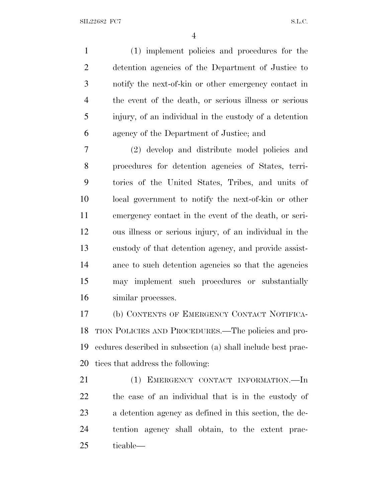(1) implement policies and procedures for the detention agencies of the Department of Justice to notify the next-of-kin or other emergency contact in the event of the death, or serious illness or serious injury, of an individual in the custody of a detention agency of the Department of Justice; and

 (2) develop and distribute model policies and procedures for detention agencies of States, terri- tories of the United States, Tribes, and units of local government to notify the next-of-kin or other emergency contact in the event of the death, or seri- ous illness or serious injury, of an individual in the custody of that detention agency, and provide assist- ance to such detention agencies so that the agencies may implement such procedures or substantially similar processes.

 (b) CONTENTS OF EMERGENCY CONTACT NOTIFICA- TION POLICIES AND PROCEDURES.—The policies and pro- cedures described in subsection (a) shall include best prac-tices that address the following:

 (1) EMERGENCY CONTACT INFORMATION.—In the case of an individual that is in the custody of a detention agency as defined in this section, the de- tention agency shall obtain, to the extent prac-ticable—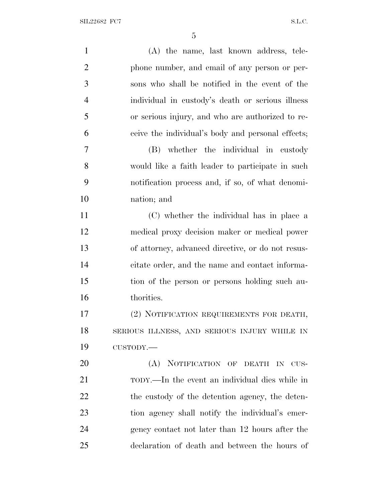| $\mathbf{1}$   | (A) the name, last known address, tele-           |
|----------------|---------------------------------------------------|
| $\overline{2}$ | phone number, and email of any person or per-     |
| 3              | sons who shall be notified in the event of the    |
| $\overline{4}$ | individual in custody's death or serious illness  |
| 5              | or serious injury, and who are authorized to re-  |
| 6              | ceive the individual's body and personal effects; |
| $\overline{7}$ | (B) whether the individual in custody             |
| 8              | would like a faith leader to participate in such  |
| 9              | notification process and, if so, of what denomi-  |
| 10             | nation; and                                       |
| 11             | (C) whether the individual has in place a         |
| 12             | medical proxy decision maker or medical power     |
| 13             | of attorney, advanced directive, or do not resus- |
| 14             | citate order, and the name and contact informa-   |
| 15             | tion of the person or persons holding such au-    |
| 16             | thorities.                                        |
| 17             | (2) NOTIFICATION REQUIREMENTS FOR DEATH,          |
| 18             | SERIOUS ILLNESS, AND SERIOUS INJURY WHILE IN      |
| 19             | CUSTODY.-                                         |
| 20             | (A) NOTIFICATION OF DEATH IN CUS-                 |
| 21             | TODY.—In the event an individual dies while in    |
| 22             | the custody of the detention agency, the deten-   |
| 23             | tion agency shall notify the individual's emer-   |
| 24             | gency contact not later than 12 hours after the   |
| 25             | declaration of death and between the hours of     |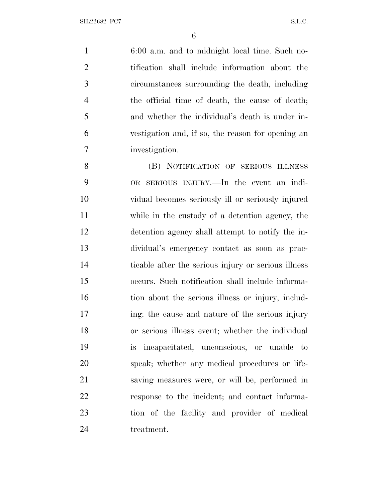6:00 a.m. and to midnight local time. Such no- tification shall include information about the circumstances surrounding the death, including the official time of death, the cause of death; and whether the individual's death is under in- vestigation and, if so, the reason for opening an investigation.

8 (B) NOTIFICATION OF SERIOUS ILLNESS OR SERIOUS INJURY.—In the event an indi- vidual becomes seriously ill or seriously injured while in the custody of a detention agency, the detention agency shall attempt to notify the in- dividual's emergency contact as soon as prac- ticable after the serious injury or serious illness occurs. Such notification shall include informa-16 tion about the serious illness or injury, includ-17 ing: the cause and nature of the serious injury or serious illness event; whether the individual is incapacitated, unconscious, or unable to speak; whether any medical procedures or life- saving measures were, or will be, performed in response to the incident; and contact informa- tion of the facility and provider of medical treatment.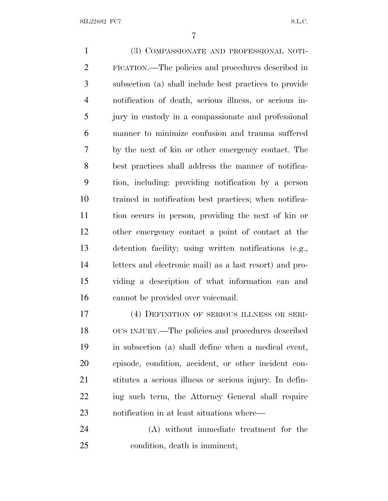(3) COMPASSIONATE AND PROFESSIONAL NOTI- FICATION.—The policies and procedures described in subsection (a) shall include best practices to provide notification of death, serious illness, or serious in- jury in custody in a compassionate and professional manner to minimize confusion and trauma suffered by the next of kin or other emergency contact. The best practices shall address the manner of notifica- tion, including: providing notification by a person trained in notification best practices; when notifica- tion occurs in person, providing the next of kin or other emergency contact a point of contact at the detention facility; using written notifications (e.g., letters and electronic mail) as a last resort) and pro- viding a description of what information can and cannot be provided over voicemail. 17 (4) DEFINITION OF SERIOUS ILLNESS OR SERI-

 OUS INJURY.—The policies and procedures described in subsection (a) shall define when a medical event, episode, condition, accident, or other incident con- stitutes a serious illness or serious injury. In defin- ing such term, the Attorney General shall require notification in at least situations where—

 (A) without immediate treatment for the condition, death is imminent;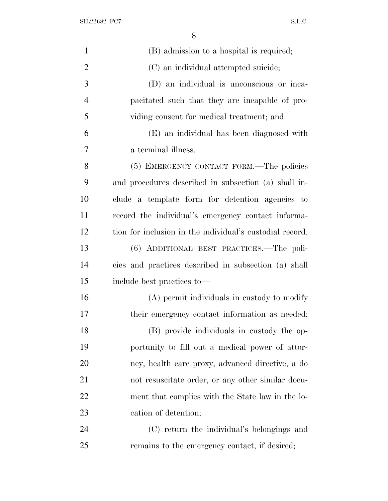| $\mathbf{1}$   | (B) admission to a hospital is required;                 |
|----------------|----------------------------------------------------------|
| $\overline{2}$ | (C) an individual attempted suicide;                     |
| 3              | (D) an individual is unconscious or inca-                |
| $\overline{4}$ | pacitated such that they are incapable of pro-           |
| 5              | viding consent for medical treatment; and                |
| 6              | (E) an individual has been diagnosed with                |
| $\overline{7}$ | a terminal illness.                                      |
| 8              | (5) EMERGENCY CONTACT FORM.—The policies                 |
| 9              | and procedures described in subsection (a) shall in-     |
| 10             | clude a template form for detention agencies to          |
| 11             | record the individual's emergency contact informa-       |
| 12             | tion for inclusion in the individual's custodial record. |
| 13             | (6) ADDITIONAL BEST PRACTICES.—The poli-                 |
| 14             | cies and practices described in subsection (a) shall     |
| 15             | include best practices to—                               |
| 16             | (A) permit individuals in custody to modify              |
| 17             | their emergency contact information as needed;           |
| 18             | (B) provide individuals in custody the op-               |
| 19             | portunity to fill out a medical power of attor-          |
| 20             | ney, health care proxy, advanced directive, a do         |
| 21             | not resuscitate order, or any other similar docu-        |
| 22             | ment that complies with the State law in the lo-         |
| 23             | cation of detention;                                     |
| 24             | (C) return the individual's belongings and               |
| 25             | remains to the emergency contact, if desired;            |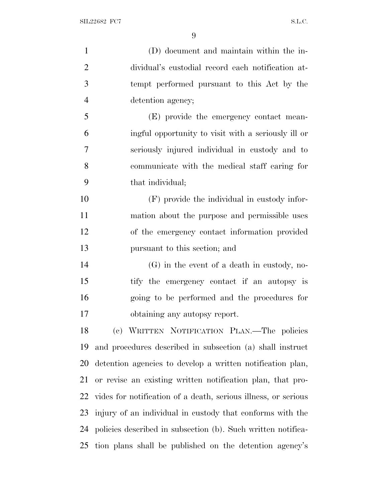(D) document and maintain within the in- dividual's custodial record each notification at- tempt performed pursuant to this Act by the detention agency; (E) provide the emergency contact mean- ingful opportunity to visit with a seriously ill or seriously injured individual in custody and to communicate with the medical staff caring for that individual; (F) provide the individual in custody infor- mation about the purpose and permissible uses of the emergency contact information provided pursuant to this section; and (G) in the event of a death in custody, no- tify the emergency contact if an autopsy is going to be performed and the procedures for obtaining any autopsy report. (c) WRITTEN NOTIFICATION PLAN.—The policies and procedures described in subsection (a) shall instruct detention agencies to develop a written notification plan, or revise an existing written notification plan, that pro- vides for notification of a death, serious illness, or serious injury of an individual in custody that conforms with the policies described in subsection (b). Such written notifica-tion plans shall be published on the detention agency's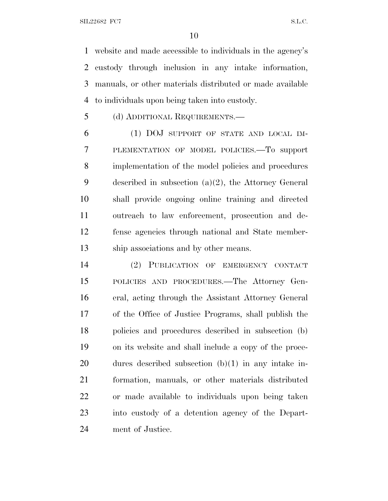website and made accessible to individuals in the agency's custody through inclusion in any intake information, manuals, or other materials distributed or made available to individuals upon being taken into custody.

(d) ADDITIONAL REQUIREMENTS.—

 (1) DOJ SUPPORT OF STATE AND LOCAL IM- PLEMENTATION OF MODEL POLICIES.—To support implementation of the model policies and procedures described in subsection (a)(2), the Attorney General shall provide ongoing online training and directed outreach to law enforcement, prosecution and de- fense agencies through national and State member-ship associations and by other means.

 (2) PUBLICATION OF EMERGENCY CONTACT POLICIES AND PROCEDURES.—The Attorney Gen- eral, acting through the Assistant Attorney General of the Office of Justice Programs, shall publish the policies and procedures described in subsection (b) on its website and shall include a copy of the proce- dures described subsection (b)(1) in any intake in- formation, manuals, or other materials distributed or made available to individuals upon being taken into custody of a detention agency of the Depart-ment of Justice.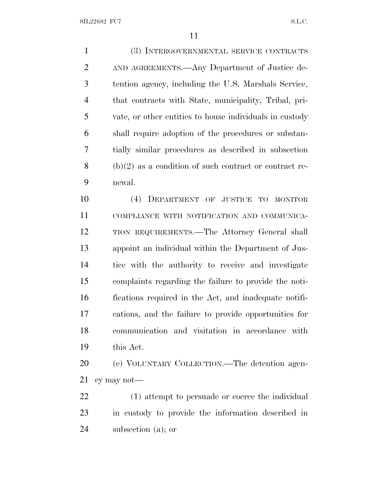(3) INTERGOVERNMENTAL SERVICE CONTRACTS AND AGREEMENTS.—Any Department of Justice de- tention agency, including the U.S. Marshals Service, that contracts with State, municipality, Tribal, pri- vate, or other entities to house individuals in custody shall require adoption of the procedures or substan- tially similar procedures as described in subsection (b)(2) as a condition of such contract or contract re-newal.

 (4) DEPARTMENT OF JUSTICE TO MONITOR COMPLIANCE WITH NOTIFICATION AND COMMUNICA- TION REQUIREMENTS.—The Attorney General shall appoint an individual within the Department of Jus- tice with the authority to receive and investigate complaints regarding the failure to provide the noti- fications required in the Act, and inadequate notifi- cations, and the failure to provide opportunities for communication and visitation in accordance with this Act.

 (e) VOLUNTARY COLLECTION.—The detention agen-cy may not—

 (1) attempt to persuade or coerce the individual in custody to provide the information described in subsection (a); or